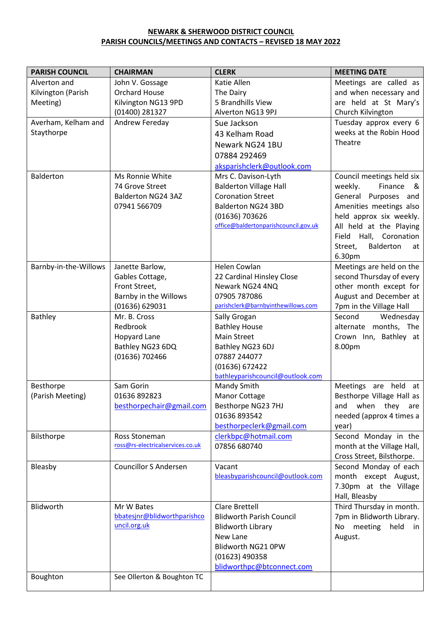## **NEWARK & SHERWOOD DISTRICT COUNCIL PARISH COUNCILS/MEETINGS AND CONTACTS – REVISED 18 MAY 2022**

| <b>PARISH COUNCIL</b> | <b>CHAIRMAN</b>                  | <b>CLERK</b>                                       | <b>MEETING DATE</b>        |
|-----------------------|----------------------------------|----------------------------------------------------|----------------------------|
| Alverton and          | John V. Gossage                  | Katie Allen                                        | Meetings are called as     |
| Kilvington (Parish    | <b>Orchard House</b>             | The Dairy                                          | and when necessary and     |
| Meeting)              | Kilvington NG13 9PD              | 5 Brandhills View                                  | are held at St Mary's      |
|                       | (01400) 281327                   | Alverton NG13 9PJ                                  | Church Kilvington          |
| Averham, Kelham and   | Andrew Fereday                   | Sue Jackson                                        | Tuesday approx every 6     |
| Staythorpe            |                                  | 43 Kelham Road                                     | weeks at the Robin Hood    |
|                       |                                  | Newark NG24 1BU                                    | Theatre                    |
|                       |                                  | 07884 292469                                       |                            |
|                       |                                  | aksparishclerk@outlook.com                         |                            |
| Balderton             | Ms Ronnie White                  | Mrs C. Davison-Lyth                                | Council meetings held six  |
|                       | 74 Grove Street                  | <b>Balderton Village Hall</b>                      | Finance<br>weekly.<br>_&   |
|                       | Balderton NG24 3AZ               | <b>Coronation Street</b>                           | General Purposes and       |
|                       | 07941 566709                     | <b>Balderton NG24 3BD</b>                          | Amenities meetings also    |
|                       |                                  | (01636) 703626                                     | held approx six weekly.    |
|                       |                                  | office@baldertonparishcouncil.gov.uk               | All held at the Playing    |
|                       |                                  |                                                    | Field Hall, Coronation     |
|                       |                                  |                                                    | Balderton<br>Street,<br>at |
|                       |                                  |                                                    | 6.30pm                     |
| Barnby-in-the-Willows | Janette Barlow,                  | Helen Cowlan                                       | Meetings are held on the   |
|                       | Gables Cottage,                  | 22 Cardinal Hinsley Close                          | second Thursday of every   |
|                       | Front Street,                    | Newark NG24 4NQ                                    | other month except for     |
|                       | Barnby in the Willows            | 07905 787086                                       | August and December at     |
|                       | (01636) 629031                   | parishclerk@barnbyinthewillows.com                 | 7pm in the Village Hall    |
| <b>Bathley</b>        | Mr. B. Cross                     | Sally Grogan                                       | Second<br>Wednesday        |
|                       | Redbrook                         | <b>Bathley House</b>                               | alternate months, The      |
|                       | Hopyard Lane                     | <b>Main Street</b>                                 | Crown Inn, Bathley at      |
|                       | Bathley NG23 6DQ                 | Bathley NG23 6DJ                                   | 8.00pm                     |
|                       | (01636) 702466                   | 07887 244077                                       |                            |
|                       |                                  | (01636) 672422<br>bathleyparishcouncil@outlook.com |                            |
| Besthorpe             | Sam Gorin                        | Mandy Smith                                        | Meetings<br>are held<br>at |
| (Parish Meeting)      | 01636 892823                     | Manor Cottage                                      | Besthorpe Village Hall as  |
|                       | besthorpechair@gmail.com         | Besthorpe NG23 7HJ                                 | and when they are          |
|                       |                                  | 01636 893542                                       | needed (approx 4 times a   |
|                       |                                  | besthorpeclerk@gmail.com                           | year)                      |
| Bilsthorpe            | Ross Stoneman                    | clerkbpc@hotmail.com                               | Second Monday in the       |
|                       | ross@rs-electricalservices.co.uk | 07856 680740                                       | month at the Village Hall, |
|                       |                                  |                                                    | Cross Street, Bilsthorpe.  |
| Bleasby               | <b>Councillor S Andersen</b>     | Vacant                                             | Second Monday of each      |
|                       |                                  | bleasbyparishcouncil@outlook.com                   | month except August,       |
|                       |                                  |                                                    | 7.30pm at the Village      |
|                       |                                  |                                                    | Hall, Bleasby              |
| Blidworth             | Mr W Bates                       | <b>Clare Brettell</b>                              | Third Thursday in month.   |
|                       | bbatesjnr@blidworthparishco      | <b>Blidworth Parish Council</b>                    | 7pm in Blidworth Library.  |
|                       | uncil.org.uk                     | <b>Blidworth Library</b>                           | No meeting held<br>in      |
|                       |                                  | New Lane                                           | August.                    |
|                       |                                  | Blidworth NG21 0PW                                 |                            |
|                       |                                  | (01623) 490358                                     |                            |
|                       |                                  | blidworthpc@btconnect.com                          |                            |
| Boughton              | See Ollerton & Boughton TC       |                                                    |                            |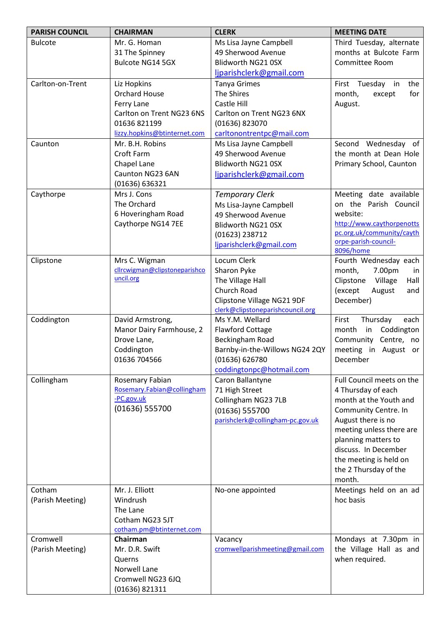| <b>PARISH COUNCIL</b> | <b>CHAIRMAN</b>                            | <b>CLERK</b>                                        | <b>MEETING DATE</b>          |
|-----------------------|--------------------------------------------|-----------------------------------------------------|------------------------------|
| <b>Bulcote</b>        | Mr. G. Homan                               | Ms Lisa Jayne Campbell                              | Third Tuesday, alternate     |
|                       | 31 The Spinney                             | 49 Sherwood Avenue                                  | months at Bulcote Farm       |
|                       | <b>Bulcote NG14 5GX</b>                    | Blidworth NG21 0SX                                  | Committee Room               |
|                       |                                            | ljparishclerk@gmail.com                             |                              |
| Carlton-on-Trent      | Liz Hopkins                                | <b>Tanya Grimes</b>                                 | Tuesday in<br>the<br>First   |
|                       | <b>Orchard House</b>                       | The Shires                                          | month,<br>except<br>for      |
|                       | Ferry Lane                                 | Castle Hill                                         | August.                      |
|                       | Carlton on Trent NG23 6NS                  | Carlton on Trent NG23 6NX                           |                              |
|                       | 01636 821199                               | (01636) 823070                                      |                              |
|                       | lizzy.hopkins@btinternet.com               | carltonontrentpc@mail.com                           |                              |
| Caunton               | Mr. B.H. Robins                            | Ms Lisa Jayne Campbell                              | Second Wednesday of          |
|                       | Croft Farm                                 | 49 Sherwood Avenue                                  | the month at Dean Hole       |
|                       | Chapel Lane                                | Blidworth NG21 0SX                                  | Primary School, Caunton      |
|                       | Caunton NG23 6AN                           | ljparishclerk@gmail.com                             |                              |
|                       | (01636) 636321                             |                                                     |                              |
| Caythorpe             | Mrs J. Cons                                | <b>Temporary Clerk</b>                              | Meeting date available       |
|                       | The Orchard                                | Ms Lisa-Jayne Campbell                              | on the Parish Council        |
|                       | 6 Hoveringham Road                         | 49 Sherwood Avenue                                  | website:                     |
|                       | Caythorpe NG14 7EE                         | Blidworth NG21 0SX                                  | http://www.caythorpenotts    |
|                       |                                            | (01623) 238712                                      | pc.org.uk/community/cayth    |
|                       |                                            | ljparishclerk@gmail.com                             | orpe-parish-council-         |
|                       |                                            |                                                     | 8096/home                    |
| Clipstone             | Mrs C. Wigman                              | Locum Clerk                                         | Fourth Wednesday each        |
|                       | cllrcwigman@clipstoneparishco<br>uncil.org | Sharon Pyke                                         | month,<br>7.00pm<br>in       |
|                       |                                            | The Village Hall                                    | Clipstone<br>Village<br>Hall |
|                       |                                            | Church Road                                         | (except<br>August<br>and     |
|                       |                                            | Clipstone Village NG21 9DF                          | December)                    |
| Coddington            | David Armstrong,                           | clerk@clipstoneparishcouncil.org<br>Ms Y.M. Wellard | First<br>Thursday<br>each    |
|                       | Manor Dairy Farmhouse, 2                   | <b>Flawford Cottage</b>                             | Coddington<br>month<br>in    |
|                       | Drove Lane,                                | Beckingham Road                                     | Community Centre, no         |
|                       | Coddington                                 | Barnby-in-the-Willows NG24 2QY                      | meeting in August or         |
|                       | 01636 704566                               | (01636) 626780                                      | December                     |
|                       |                                            | coddingtonpc@hotmail.com                            |                              |
| Collingham            | Rosemary Fabian                            | Caron Ballantyne                                    | Full Council meets on the    |
|                       | Rosemary.Fabian@collingham                 | 71 High Street                                      | 4 Thursday of each           |
|                       | -PC.gov.uk                                 | Collingham NG23 7LB                                 | month at the Youth and       |
|                       | (01636) 555700                             | (01636) 555700                                      | Community Centre. In         |
|                       |                                            | parishclerk@collingham-pc.gov.uk                    | August there is no           |
|                       |                                            |                                                     | meeting unless there are     |
|                       |                                            |                                                     | planning matters to          |
|                       |                                            |                                                     | discuss. In December         |
|                       |                                            |                                                     | the meeting is held on       |
|                       |                                            |                                                     | the 2 Thursday of the        |
|                       |                                            |                                                     | month.                       |
| Cotham                | Mr. J. Elliott                             | No-one appointed                                    | Meetings held on an ad       |
| (Parish Meeting)      | Windrush                                   |                                                     | hoc basis                    |
|                       | The Lane                                   |                                                     |                              |
|                       | Cotham NG23 5JT                            |                                                     |                              |
|                       | cotham.pm@btinternet.com                   |                                                     |                              |
| Cromwell              | Chairman                                   | Vacancy                                             | Mondays at 7.30pm in         |
| (Parish Meeting)      | Mr. D.R. Swift                             | cromwellparishmeeting@gmail.com                     | the Village Hall as and      |
|                       | Querns                                     |                                                     | when required.               |
|                       | Norwell Lane                               |                                                     |                              |
|                       | Cromwell NG23 6JQ                          |                                                     |                              |
|                       | (01636) 821311                             |                                                     |                              |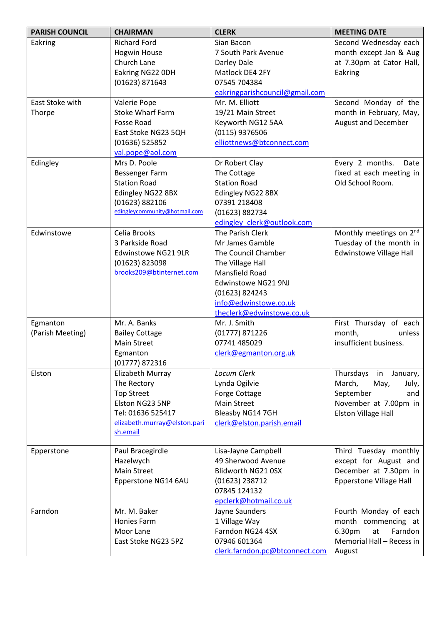| <b>PARISH COUNCIL</b> | <b>CHAIRMAN</b>                                 | <b>CLERK</b>                                 | <b>MEETING DATE</b>                 |
|-----------------------|-------------------------------------------------|----------------------------------------------|-------------------------------------|
| Eakring               | <b>Richard Ford</b>                             | Sian Bacon                                   | Second Wednesday each               |
|                       | <b>Hogwin House</b>                             | 7 South Park Avenue                          | month except Jan & Aug              |
|                       | Church Lane                                     | Darley Dale                                  | at 7.30pm at Cator Hall,            |
|                       | Eakring NG22 ODH                                | Matlock DE4 2FY                              | Eakring                             |
|                       | (01623) 871643                                  | 07545 704384                                 |                                     |
|                       |                                                 | eakringparishcouncil@gmail.com               |                                     |
| East Stoke with       | Valerie Pope                                    | Mr. M. Elliott                               | Second Monday of the                |
| Thorpe                | <b>Stoke Wharf Farm</b>                         | 19/21 Main Street                            | month in February, May,             |
|                       | Fosse Road                                      | Keyworth NG12 5AA                            | <b>August and December</b>          |
|                       | East Stoke NG23 5QH                             | (0115) 9376506                               |                                     |
|                       | $(01636)$ 525852                                | elliottnews@btconnect.com                    |                                     |
|                       | val.pope@aol.com                                |                                              |                                     |
| Edingley              | Mrs D. Poole                                    | Dr Robert Clay                               | Every 2 months.<br>Date             |
|                       | Bessenger Farm                                  | The Cottage                                  | fixed at each meeting in            |
|                       | <b>Station Road</b>                             | <b>Station Road</b>                          | Old School Room.                    |
|                       | Edingley NG22 8BX                               | Edingley NG22 8BX                            |                                     |
|                       | (01623) 882106<br>edingleycommunity@hotmail.com | 07391 218408                                 |                                     |
|                       |                                                 | (01623) 882734<br>edingley clerk@outlook.com |                                     |
| Edwinstowe            | Celia Brooks                                    | The Parish Clerk                             | Monthly meetings on 2 <sup>nd</sup> |
|                       | 3 Parkside Road                                 | Mr James Gamble                              | Tuesday of the month in             |
|                       | Edwinstowe NG21 9LR                             | The Council Chamber                          | <b>Edwinstowe Village Hall</b>      |
|                       | (01623) 823098                                  | The Village Hall                             |                                     |
|                       | brooks209@btinternet.com                        | Mansfield Road                               |                                     |
|                       |                                                 | Edwinstowe NG21 9NJ                          |                                     |
|                       |                                                 | (01623) 824243                               |                                     |
|                       |                                                 | info@edwinstowe.co.uk                        |                                     |
|                       |                                                 | theclerk@edwinstowe.co.uk                    |                                     |
| Egmanton              | Mr. A. Banks                                    | Mr. J. Smith                                 | First Thursday of each              |
| (Parish Meeting)      | <b>Bailey Cottage</b>                           | $(01777)$ 871226                             | month,<br>unless                    |
|                       | <b>Main Street</b>                              | 07741 485029                                 | insufficient business.              |
|                       | Egmanton                                        | clerk@egmanton.org.uk                        |                                     |
|                       | (01777) 872316                                  |                                              |                                     |
| Elston                | Elizabeth Murray                                | Locum Clerk                                  | Thursdays in January,               |
|                       | The Rectory                                     | Lynda Ogilvie                                | March,<br>May,<br>July,             |
|                       | <b>Top Street</b>                               | Forge Cottage                                | September<br>and                    |
|                       | Elston NG23 5NP                                 | <b>Main Street</b>                           | November at 7.00pm in               |
|                       | Tel: 01636 525417                               | Bleasby NG14 7GH                             | <b>Elston Village Hall</b>          |
|                       | elizabeth.murray@elston.pari                    | clerk@elston.parish.email                    |                                     |
|                       | sh.email                                        |                                              |                                     |
| Epperstone            | Paul Bracegirdle                                | Lisa-Jayne Campbell                          | Third Tuesday monthly               |
|                       | Hazelwych                                       | 49 Sherwood Avenue                           | except for August and               |
|                       | <b>Main Street</b>                              | Blidworth NG21 0SX                           | December at 7.30pm in               |
|                       | Epperstone NG14 6AU                             | (01623) 238712                               | <b>Epperstone Village Hall</b>      |
|                       |                                                 | 07845 124132                                 |                                     |
|                       |                                                 | epclerk@hotmail.co.uk                        |                                     |
| Farndon               | Mr. M. Baker                                    | Jayne Saunders                               | Fourth Monday of each               |
|                       | Honies Farm                                     | 1 Village Way                                | month commencing at                 |
|                       | Moor Lane                                       | Farndon NG24 4SX                             | Farndon<br>6.30pm<br>at             |
|                       | East Stoke NG23 5PZ                             | 07946 601364                                 | Memorial Hall - Recess in           |
|                       |                                                 | clerk.farndon.pc@btconnect.com               | August                              |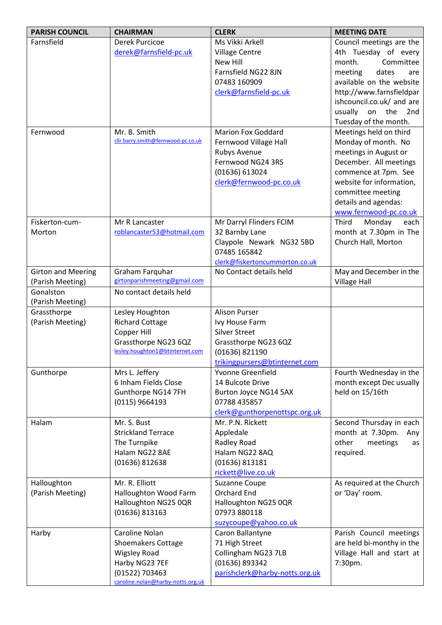| <b>PARISH COUNCIL</b>           | <b>CHAIRMAN</b>                                    | <b>CLERK</b>                           | <b>MEETING DATE</b>                          |
|---------------------------------|----------------------------------------------------|----------------------------------------|----------------------------------------------|
| Farnsfield                      | Derek Purcicoe                                     | Ms Vikki Arkell                        | Council meetings are the                     |
|                                 | derek@farnsfield-pc.uk                             | <b>Village Centre</b>                  | 4th Tuesday of every                         |
|                                 |                                                    | New Hill                               | Committee<br>month.                          |
|                                 |                                                    | Farnsfield NG22 8JN                    | meeting<br>dates<br>are                      |
|                                 |                                                    | 07483 160909                           | available on the website                     |
|                                 |                                                    | clerk@farnsfield-pc.uk                 | http://www.farnsfieldpar                     |
|                                 |                                                    |                                        | ishcouncil.co.uk/ and are                    |
|                                 |                                                    |                                        | usually<br>on the<br>2nd                     |
|                                 |                                                    |                                        | Tuesday of the month.                        |
| Fernwood                        | Mr. B. Smith<br>cllr.barry.smith@fernwood-pc.co.uk | <b>Marion Fox Goddard</b>              | Meetings held on third                       |
|                                 |                                                    | Fernwood Village Hall<br>Rubys Avenue  | Monday of month. No<br>meetings in August or |
|                                 |                                                    | Fernwood NG24 3RS                      | December. All meetings                       |
|                                 |                                                    | (01636) 613024                         | commence at 7pm. See                         |
|                                 |                                                    | clerk@fernwood-pc.co.uk                | website for information,                     |
|                                 |                                                    |                                        | committee meeting                            |
|                                 |                                                    |                                        | details and agendas:                         |
|                                 |                                                    |                                        | www.fernwood-pc.co.uk                        |
| Fiskerton-cum-                  | Mr R Lancaster                                     | Mr Darryl Flinders FCIM                | Third<br>Monday<br>each                      |
| Morton                          | roblancaster53@hotmail.com                         | 32 Barnby Lane                         | month at 7.30pm in The                       |
|                                 |                                                    | Claypole Newark NG32 5BD               | Church Hall, Morton                          |
|                                 |                                                    | 07485 165842                           |                                              |
|                                 |                                                    | clerk@fiskertoncummorton.co.uk         |                                              |
| <b>Girton and Meering</b>       | Graham Farquhar                                    | No Contact details held                | May and December in the                      |
| (Parish Meeting)                | girtonparishmeeting@gmail.com                      |                                        | <b>Village Hall</b>                          |
| Gonalston                       | No contact details held                            |                                        |                                              |
| (Parish Meeting)                |                                                    |                                        |                                              |
| Grassthorpe<br>(Parish Meeting) | Lesley Houghton<br><b>Richard Cottage</b>          | <b>Alison Purser</b><br>Ivy House Farm |                                              |
|                                 | Copper Hill                                        | <b>Silver Street</b>                   |                                              |
|                                 | Grassthorpe NG23 6QZ                               | Grassthorpe NG23 6QZ                   |                                              |
|                                 | lesley.houghton1@btinternet.com                    | (01636) 821190                         |                                              |
|                                 |                                                    | trikingpursers@btinternet.com          |                                              |
| Gunthorpe                       | Mrs L. Jeffery                                     | Yvonne Greenfield                      | Fourth Wednesday in the                      |
|                                 | 6 Inham Fields Close                               | 14 Bulcote Drive                       | month except Dec usually                     |
|                                 | Gunthorpe NG14 7FH                                 | Burton Joyce NG14 5AX                  | held on 15/16th                              |
|                                 | (0115) 9664193                                     | 07788 435857                           |                                              |
|                                 |                                                    | clerk@gunthorpenottspc.org.uk          |                                              |
| Halam                           | Mr. S. Bust                                        | Mr. P.N. Rickett                       | Second Thursday in each                      |
|                                 | <b>Strickland Terrace</b>                          | Appledale                              | month at 7.30pm.<br>Any                      |
|                                 | The Turnpike                                       | Radley Road                            | other<br>meetings<br>as                      |
|                                 | Halam NG22 8AE                                     | Halam NG22 8AQ                         | required.                                    |
|                                 | (01636) 812638                                     | (01636) 813181                         |                                              |
|                                 |                                                    | rickett@live.co.uk                     |                                              |
| Halloughton<br>(Parish Meeting) | Mr. R. Elliott<br>Halloughton Wood Farm            | Suzanne Coupe<br>Orchard End           | As required at the Church<br>or 'Day' room.  |
|                                 | Halloughton NG25 0QR                               | Halloughton NG25 0QR                   |                                              |
|                                 | (01636) 813163                                     | 07973 880118                           |                                              |
|                                 |                                                    | suzycoupe@yahoo.co.uk                  |                                              |
| Harby                           | Caroline Nolan                                     | Caron Ballantyne                       | Parish Council meetings                      |
|                                 | <b>Shoemakers Cottage</b>                          | 71 High Street                         | are held bi-monthy in the                    |
|                                 | <b>Wigsley Road</b>                                | Collingham NG23 7LB                    | Village Hall and start at                    |
|                                 | Harby NG23 7EF                                     | (01636) 893342                         | 7:30pm.                                      |
|                                 | (01522) 703463                                     | parishclerk@harby-notts.org.uk         |                                              |
|                                 | caroline.nolan@harby-notts.org.uk                  |                                        |                                              |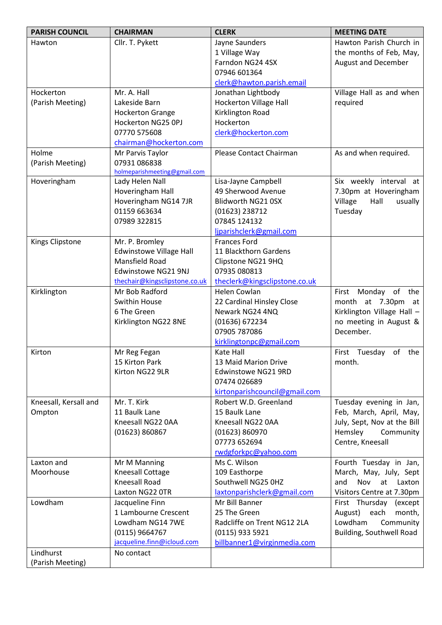| <b>PARISH COUNCIL</b>  | <b>CHAIRMAN</b>                | <b>CLERK</b>                  | <b>MEETING DATE</b>         |
|------------------------|--------------------------------|-------------------------------|-----------------------------|
| Hawton                 | Cllr. T. Pykett                | Jayne Saunders                | Hawton Parish Church in     |
|                        |                                | 1 Village Way                 | the months of Feb, May,     |
|                        |                                | Farndon NG24 4SX              | <b>August and December</b>  |
|                        |                                | 07946 601364                  |                             |
|                        |                                | clerk@hawton.parish.email     |                             |
| Hockerton              | Mr. A. Hall                    | Jonathan Lightbody            | Village Hall as and when    |
| (Parish Meeting)       | Lakeside Barn                  | <b>Hockerton Village Hall</b> | required                    |
|                        | <b>Hockerton Grange</b>        | Kirklington Road              |                             |
|                        | Hockerton NG25 OPJ             | Hockerton                     |                             |
|                        | 07770 575608                   | clerk@hockerton.com           |                             |
|                        | chairman@hockerton.com         |                               |                             |
| Holme                  | Mr Parvis Taylor               | Please Contact Chairman       | As and when required.       |
| (Parish Meeting)       | 07931 086838                   |                               |                             |
|                        | holmeparishmeeting@gmail.com   |                               |                             |
| Hoveringham            | Lady Helen Nall                | Lisa-Jayne Campbell           | Six weekly interval at      |
|                        | Hoveringham Hall               | 49 Sherwood Avenue            | 7.30pm at Hoveringham       |
|                        | Hoveringham NG14 7JR           | Blidworth NG21 0SX            | Village<br>Hall<br>usually  |
|                        | 01159 663634                   | (01623) 238712                | Tuesday                     |
|                        | 07989 322815                   | 07845 124132                  |                             |
|                        |                                | ljparishclerk@gmail.com       |                             |
| <b>Kings Clipstone</b> | Mr. P. Bromley                 | <b>Frances Ford</b>           |                             |
|                        | <b>Edwinstowe Village Hall</b> | 11 Blackthorn Gardens         |                             |
|                        | <b>Mansfield Road</b>          | Clipstone NG21 9HQ            |                             |
|                        | Edwinstowe NG21 9NJ            | 07935 080813                  |                             |
|                        | thechair@kingsclipstone.co.uk  | theclerk@kingsclipstone.co.uk |                             |
| Kirklington            | Mr Bob Radford                 | Helen Cowlan                  | First Monday of the         |
|                        | Swithin House                  | 22 Cardinal Hinsley Close     | month at 7.30pm at          |
|                        | 6 The Green                    | Newark NG24 4NQ               | Kirklington Village Hall -  |
|                        | Kirklington NG22 8NE           | (01636) 672234                | no meeting in August &      |
|                        |                                | 07905 787086                  | December.                   |
|                        |                                | kirklingtonpc@gmail.com       |                             |
| Kirton                 | Mr Reg Fegan                   | Kate Hall                     | First Tuesday<br>of the     |
|                        | 15 Kirton Park                 | 13 Maid Marion Drive          | month.                      |
|                        | Kirton NG22 9LR                | Edwinstowe NG21 9RD           |                             |
|                        |                                | 07474 026689                  |                             |
|                        |                                | kirtonparishcouncil@gmail.com |                             |
| Kneesall, Kersall and  | Mr. T. Kirk                    | Robert W.D. Greenland         | Tuesday evening in Jan,     |
| Ompton                 | 11 Baulk Lane                  | 15 Baulk Lane                 | Feb, March, April, May,     |
|                        | Kneesall NG22 0AA              | Kneesall NG22 0AA             | July, Sept, Nov at the Bill |
|                        | (01623) 860867                 | (01623) 860970                | Hemsley<br>Community        |
|                        |                                | 07773 652694                  | Centre, Kneesall            |
|                        |                                | rwdgforkpc@yahoo.com          |                             |
| Laxton and             | Mr M Manning                   | Ms C. Wilson                  | Fourth Tuesday in Jan,      |
| Moorhouse              | Kneesall Cottage               | 109 Easthorpe                 | March, May, July, Sept      |
|                        | Kneesall Road                  | Southwell NG25 0HZ            | and<br>Nov<br>at<br>Laxton  |
|                        | Laxton NG22 OTR                | laxtonparishclerk@gmail.com   | Visitors Centre at 7.30pm   |
| Lowdham                | Jacqueline Finn                | Mr Bill Banner                | First Thursday (except      |
|                        | 1 Lambourne Crescent           | 25 The Green                  | August)<br>each<br>month,   |
|                        | Lowdham NG14 7WE               | Radcliffe on Trent NG12 2LA   | Lowdham<br>Community        |
|                        | (0115) 9664767                 | (0115) 933 5921               | Building, Southwell Road    |
|                        | jacqueline.finn@icloud.com     | billbanner1@virginmedia.com   |                             |
| Lindhurst              | No contact                     |                               |                             |
| (Parish Meeting)       |                                |                               |                             |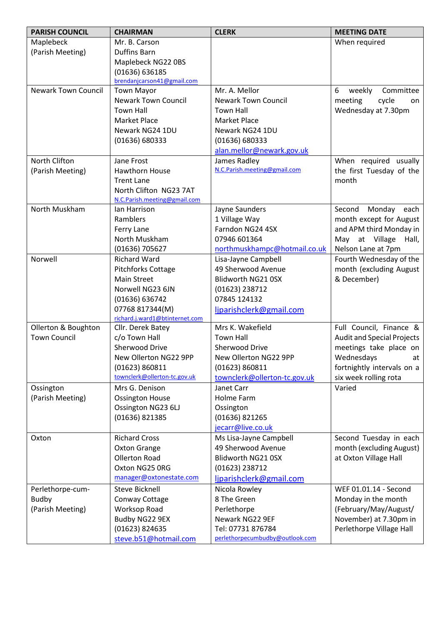| <b>PARISH COUNCIL</b>      | <b>CHAIRMAN</b>                              | <b>CLERK</b>                    | <b>MEETING DATE</b>               |
|----------------------------|----------------------------------------------|---------------------------------|-----------------------------------|
| Maplebeck                  | Mr. B. Carson                                |                                 | When required                     |
| (Parish Meeting)           | <b>Duffins Barn</b>                          |                                 |                                   |
|                            | Maplebeck NG22 0BS                           |                                 |                                   |
|                            | (01636) 636185                               |                                 |                                   |
|                            | brendanjcarson41@gmail.com                   |                                 |                                   |
| <b>Newark Town Council</b> | <b>Town Mayor</b>                            | Mr. A. Mellor                   | 6<br>weekly<br>Committee          |
|                            | <b>Newark Town Council</b>                   | <b>Newark Town Council</b>      | meeting<br>cycle<br>on            |
|                            | <b>Town Hall</b>                             | <b>Town Hall</b>                | Wednesday at 7.30pm               |
|                            | <b>Market Place</b>                          | <b>Market Place</b>             |                                   |
|                            | Newark NG24 1DU                              | Newark NG24 1DU                 |                                   |
|                            | (01636) 680333                               | (01636) 680333                  |                                   |
|                            |                                              | alan.mellor@newark.gov.uk       |                                   |
| North Clifton              | Jane Frost                                   | James Radley                    | When required usually             |
| (Parish Meeting)           | <b>Hawthorn House</b>                        | N.C.Parish.meeting@gmail.com    | the first Tuesday of the          |
|                            | <b>Trent Lane</b>                            |                                 | month                             |
|                            | North Clifton NG23 7AT                       |                                 |                                   |
| North Muskham              | N.C.Parish.meeting@gmail.com<br>lan Harrison | Jayne Saunders                  | Second<br>Monday each             |
|                            | Ramblers                                     | 1 Village Way                   | month except for August           |
|                            | Ferry Lane                                   | Farndon NG24 4SX                | and APM third Monday in           |
|                            | North Muskham                                | 07946 601364                    | May at Village Hall,              |
|                            | (01636) 705627                               | northmuskhampc@hotmail.co.uk    | Nelson Lane at 7pm                |
| Norwell                    | <b>Richard Ward</b>                          | Lisa-Jayne Campbell             | Fourth Wednesday of the           |
|                            | <b>Pitchforks Cottage</b>                    | 49 Sherwood Avenue              | month (excluding August           |
|                            | <b>Main Street</b>                           | Blidworth NG21 0SX              | & December)                       |
|                            | Norwell NG23 6JN                             | (01623) 238712                  |                                   |
|                            | (01636) 636742                               | 07845 124132                    |                                   |
|                            | 07768 817344(M)                              | ljparishclerk@gmail.com         |                                   |
|                            | richard.j.ward1@btinternet.com               |                                 |                                   |
| Ollerton & Boughton        | Cllr. Derek Batey                            | Mrs K. Wakefield                | Full Council, Finance &           |
| <b>Town Council</b>        | c/o Town Hall                                | <b>Town Hall</b>                | <b>Audit and Special Projects</b> |
|                            | Sherwood Drive                               | Sherwood Drive                  | meetings take place on            |
|                            | New Ollerton NG22 9PP                        | New Ollerton NG22 9PP           | Wednesdays<br>at                  |
|                            | (01623) 860811                               | (01623) 860811                  | fortnightly intervals on a        |
|                            | townclerk@ollerton-tc.gov.uk                 | townclerk@ollerton-tc.gov.uk    | six week rolling rota             |
| Ossington                  | Mrs G. Denison                               | Janet Carr                      | Varied                            |
| (Parish Meeting)           | <b>Ossington House</b>                       | <b>Holme Farm</b>               |                                   |
|                            | Ossington NG23 6LJ                           | Ossington                       |                                   |
|                            | (01636) 821385                               | (01636) 821265                  |                                   |
|                            |                                              | jecarr@live.co.uk               |                                   |
| Oxton                      | <b>Richard Cross</b>                         | Ms Lisa-Jayne Campbell          | Second Tuesday in each            |
|                            | <b>Oxton Grange</b>                          | 49 Sherwood Avenue              | month (excluding August)          |
|                            | <b>Ollerton Road</b>                         | Blidworth NG21 0SX              | at Oxton Village Hall             |
|                            | Oxton NG25 ORG                               | (01623) 238712                  |                                   |
|                            | manager@oxtonestate.com                      | ljparishclerk@gmail.com         |                                   |
| Perlethorpe-cum-           | <b>Steve Bicknell</b>                        | Nicola Rowley                   | WEF 01.01.14 - Second             |
| <b>Budby</b>               | Conway Cottage                               | 8 The Green                     | Monday in the month               |
| (Parish Meeting)           | <b>Worksop Road</b>                          | Perlethorpe                     | (February/May/August/             |
|                            | Budby NG22 9EX                               | Newark NG22 9EF                 | November) at 7.30pm in            |
|                            | (01623) 824635                               | Tel: 07731 876784               | Perlethorpe Village Hall          |
|                            | steve.b51@hotmail.com                        | perlethorpecumbudby@outlook.com |                                   |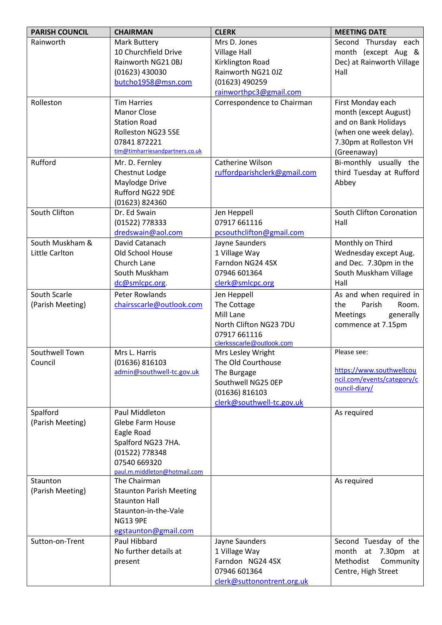| <b>PARISH COUNCIL</b> | <b>CHAIRMAN</b>                 | <b>CLERK</b>                             | <b>MEETING DATE</b>           |
|-----------------------|---------------------------------|------------------------------------------|-------------------------------|
| Rainworth             | Mark Buttery                    | Mrs D. Jones                             | Second Thursday each          |
|                       | 10 Churchfield Drive            | <b>Village Hall</b>                      | month (except Aug &           |
|                       | Rainworth NG21 0BJ              | Kirklington Road                         | Dec) at Rainworth Village     |
|                       | (01623) 430030                  | Rainworth NG21 0JZ                       | Hall                          |
|                       | butcho1958@msn.com              | (01623) 490259                           |                               |
|                       |                                 | rainworthpc3@gmail.com                   |                               |
| Rolleston             | <b>Tim Harries</b>              | Correspondence to Chairman               | First Monday each             |
|                       | <b>Manor Close</b>              |                                          | month (except August)         |
|                       | <b>Station Road</b>             |                                          | and on Bank Holidays          |
|                       | Rolleston NG23 5SE              |                                          | (when one week delay).        |
|                       | 07841 872221                    |                                          | 7.30pm at Rolleston VH        |
|                       | tim@timharriesandpartners.co.uk |                                          | (Greenaway)                   |
| Rufford               | Mr. D. Fernley                  | Catherine Wilson                         | Bi-monthly usually the        |
|                       | Chestnut Lodge                  | ruffordparishclerk@gmail.com             | third Tuesday at Rufford      |
|                       | Maylodge Drive                  |                                          | Abbey                         |
|                       | Rufford NG22 9DE                |                                          |                               |
|                       | (01623) 824360                  |                                          |                               |
| South Clifton         | Dr. Ed Swain                    | Jen Heppell                              | South Clifton Coronation      |
|                       | (01522) 778333                  | 07917 661116                             | Hall                          |
|                       | dredswain@aol.com               | pcsouthclifton@gmail.com                 |                               |
| South Muskham &       | David Catanach                  | Jayne Saunders                           | Monthly on Third              |
| Little Carlton        | Old School House                | 1 Village Way                            | Wednesday except Aug.         |
|                       | Church Lane                     | Farndon NG24 4SX                         | and Dec. 7.30pm in the        |
|                       | South Muskham                   | 07946 601364                             | South Muskham Village<br>Hall |
|                       | dc@smlcpc.org.                  | clerk@smlcpc.org                         |                               |
| South Scarle          | Peter Rowlands                  | Jen Heppell                              | As and when required in       |
| (Parish Meeting)      | chairsscarle@outlook.com        | The Cottage                              | the<br>Room.<br>Parish        |
|                       |                                 | Mill Lane                                | Meetings<br>generally         |
|                       |                                 | North Clifton NG23 7DU                   | commence at 7.15pm            |
|                       |                                 | 07917 661116<br>clerksscarle@outlook.com |                               |
| Southwell Town        | Mrs L. Harris                   | Mrs Lesley Wright                        | Please see:                   |
| Council               | (01636) 816103                  | The Old Courthouse                       |                               |
|                       | admin@southwell-tc.gov.uk       | The Burgage                              | https://www.southwellcou      |
|                       |                                 | Southwell NG25 OEP                       | ncil.com/events/category/c    |
|                       |                                 | (01636) 816103                           | ouncil-diary/                 |
|                       |                                 | clerk@southwell-tc.gov.uk                |                               |
| Spalford              | Paul Middleton                  |                                          | As required                   |
| (Parish Meeting)      | Glebe Farm House                |                                          |                               |
|                       | Eagle Road                      |                                          |                               |
|                       | Spalford NG23 7HA.              |                                          |                               |
|                       | (01522) 778348                  |                                          |                               |
|                       | 07540 669320                    |                                          |                               |
|                       | paul.m.middleton@hotmail.com    |                                          |                               |
| Staunton              | The Chairman                    |                                          | As required                   |
| (Parish Meeting)      | <b>Staunton Parish Meeting</b>  |                                          |                               |
|                       | <b>Staunton Hall</b>            |                                          |                               |
|                       | Staunton-in-the-Vale            |                                          |                               |
|                       | <b>NG13 9PE</b>                 |                                          |                               |
|                       | egstaunton@gmail.com            |                                          |                               |
| Sutton-on-Trent       | Paul Hibbard                    | Jayne Saunders                           | Second Tuesday of the         |
|                       | No further details at           | 1 Village Way                            | month at 7.30pm<br>at         |
|                       | present                         | Farndon NG24 4SX                         | Methodist<br>Community        |
|                       |                                 | 07946 601364                             | Centre, High Street           |
|                       |                                 | clerk@suttonontrent.org.uk               |                               |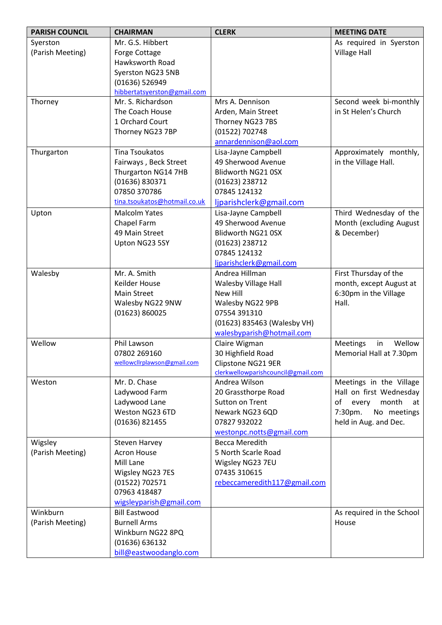| <b>PARISH COUNCIL</b> | <b>CHAIRMAN</b>              | <b>CLERK</b>                            | <b>MEETING DATE</b>                                        |
|-----------------------|------------------------------|-----------------------------------------|------------------------------------------------------------|
| Syerston              | Mr. G.S. Hibbert             |                                         | As required in Syerston                                    |
| (Parish Meeting)      | Forge Cottage                |                                         | <b>Village Hall</b>                                        |
|                       | Hawksworth Road              |                                         |                                                            |
|                       | Syerston NG23 5NB            |                                         |                                                            |
|                       | (01636) 526949               |                                         |                                                            |
|                       | hibbertatsyerston@gmail.com  |                                         |                                                            |
| Thorney               | Mr. S. Richardson            | Mrs A. Dennison                         | Second week bi-monthly                                     |
|                       | The Coach House              | Arden, Main Street                      | in St Helen's Church                                       |
|                       | 1 Orchard Court              | Thorney NG23 7BS                        |                                                            |
|                       | Thorney NG23 7BP             | (01522) 702748                          |                                                            |
|                       |                              | annardennison@aol.com                   |                                                            |
| Thurgarton            | <b>Tina Tsoukatos</b>        | Lisa-Jayne Campbell                     | Approximately monthly,                                     |
|                       | Fairways, Beck Street        | 49 Sherwood Avenue                      | in the Village Hall.                                       |
|                       | Thurgarton NG14 7HB          | Blidworth NG21 0SX                      |                                                            |
|                       | (01636) 830371               | (01623) 238712                          |                                                            |
|                       | 07850 370786                 | 07845 124132                            |                                                            |
|                       | tina.tsoukatos@hotmail.co.uk | ljparishclerk@gmail.com                 |                                                            |
| Upton                 | <b>Malcolm Yates</b>         | Lisa-Jayne Campbell                     | Third Wednesday of the                                     |
|                       | Chapel Farm                  | 49 Sherwood Avenue                      | Month (excluding August                                    |
|                       | 49 Main Street               | Blidworth NG21 0SX                      | & December)                                                |
|                       | Upton NG23 5SY               | (01623) 238712                          |                                                            |
|                       |                              | 07845 124132                            |                                                            |
|                       |                              | ljparishclerk@gmail.com                 |                                                            |
| Walesby               | Mr. A. Smith                 | Andrea Hillman                          | First Thursday of the                                      |
|                       | Keilder House                | Walesby Village Hall                    | month, except August at                                    |
|                       | <b>Main Street</b>           | New Hill                                | 6:30pm in the Village                                      |
|                       | Walesby NG22 9NW             | Walesby NG22 9PB                        | Hall.                                                      |
|                       | (01623) 860025               | 07554 391310                            |                                                            |
|                       |                              | (01623) 835463 (Walesby VH)             |                                                            |
| Wellow                |                              | walesbyparish@hotmail.com               |                                                            |
|                       | Phil Lawson<br>07802 269160  | Claire Wigman                           | <b>Meetings</b><br>Wellow<br>in<br>Memorial Hall at 7.30pm |
|                       | wellowcllrplawson@gmail.com  | 30 Highfield Road<br>Clipstone NG21 9ER |                                                            |
|                       |                              | clerkwellowparishcouncil@gmail.com      |                                                            |
| Weston                | Mr. D. Chase                 | Andrea Wilson                           | Meetings in the Village                                    |
|                       | Ladywood Farm                | 20 Grassthorpe Road                     | Hall on first Wednesday                                    |
|                       | Ladywood Lane                | Sutton on Trent                         | of<br>month<br>every<br>at                                 |
|                       | Weston NG23 6TD              | Newark NG23 6QD                         | 7:30pm.<br>No meetings                                     |
|                       | (01636) 821455               | 07827 932022                            | held in Aug. and Dec.                                      |
|                       |                              | westonpc.notts@gmail.com                |                                                            |
| Wigsley               | Steven Harvey                | <b>Becca Meredith</b>                   |                                                            |
| (Parish Meeting)      | <b>Acron House</b>           | 5 North Scarle Road                     |                                                            |
|                       | Mill Lane                    | Wigsley NG23 7EU                        |                                                            |
|                       | Wigsley NG23 7ES             | 07435 310615                            |                                                            |
|                       | (01522) 702571               | rebeccameredith117@gmail.com            |                                                            |
|                       | 07963 418487                 |                                         |                                                            |
|                       | wigsleyparish@gmail.com      |                                         |                                                            |
| Winkburn              | <b>Bill Eastwood</b>         |                                         | As required in the School                                  |
| (Parish Meeting)      | <b>Burnell Arms</b>          |                                         | House                                                      |
|                       | Winkburn NG22 8PQ            |                                         |                                                            |
|                       | (01636) 636132               |                                         |                                                            |
|                       | bill@eastwoodanglo.com       |                                         |                                                            |